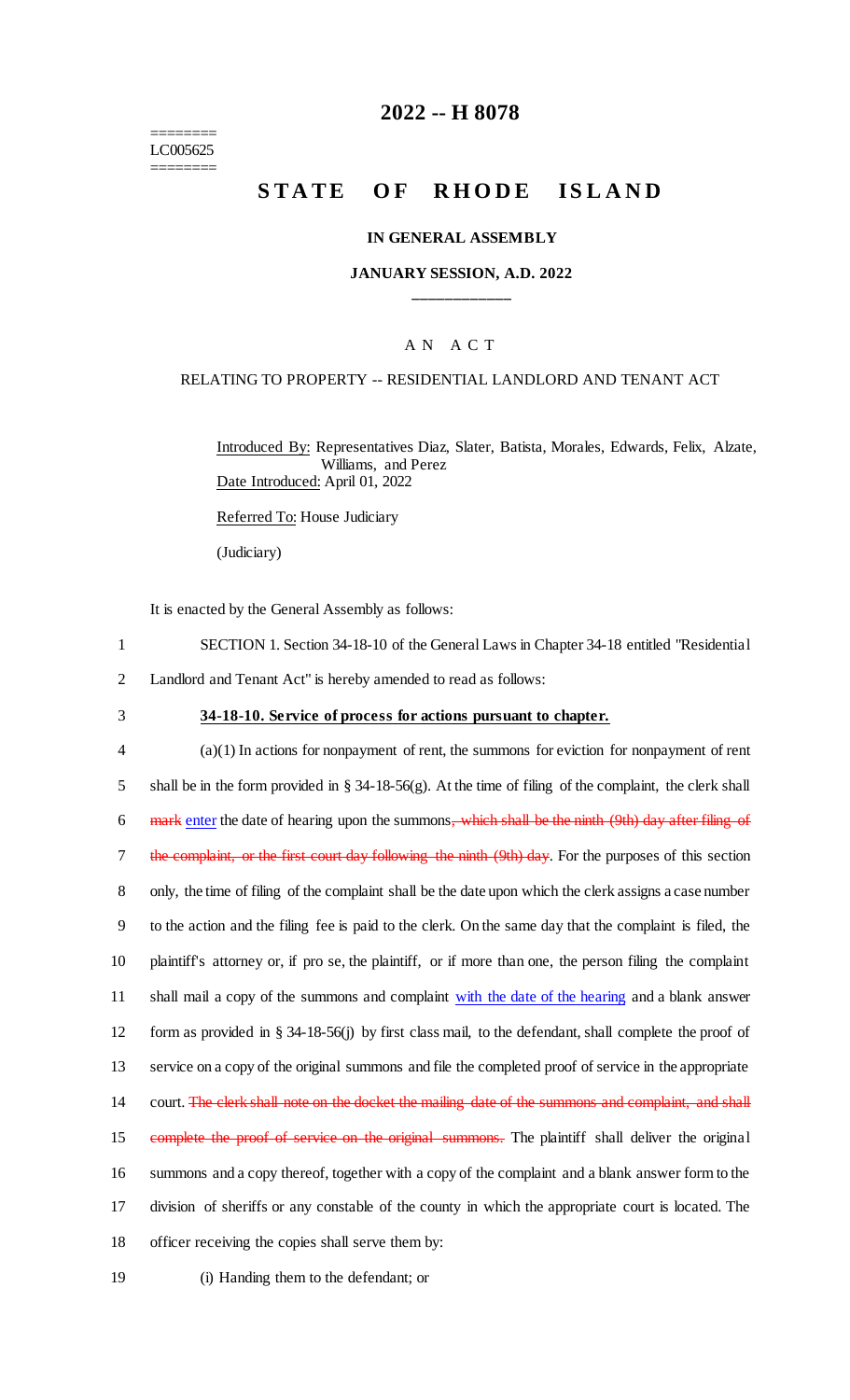======== LC005625 ========

## **2022 -- H 8078**

# **STATE OF RHODE ISLAND**

### **IN GENERAL ASSEMBLY**

### **JANUARY SESSION, A.D. 2022 \_\_\_\_\_\_\_\_\_\_\_\_**

### A N A C T

### RELATING TO PROPERTY -- RESIDENTIAL LANDLORD AND TENANT ACT

Introduced By: Representatives Diaz, Slater, Batista, Morales, Edwards, Felix, Alzate, Williams, and Perez Date Introduced: April 01, 2022

Referred To: House Judiciary

(Judiciary)

It is enacted by the General Assembly as follows:

- 1 SECTION 1. Section 34-18-10 of the General Laws in Chapter 34-18 entitled "Residential
- 2 Landlord and Tenant Act" is hereby amended to read as follows:
- 

### 3 **34-18-10. Service of process for actions pursuant to chapter.**

 (a)(1) In actions for nonpayment of rent, the summons for eviction for nonpayment of rent shall be in the form provided in § 34-18-56(g). At the time of filing of the complaint, the clerk shall 6 mark enter the date of hearing upon the summons, which shall be the ninth (9th) day after filing of 7 the complaint, or the first court day following the ninth (9th) day. For the purposes of this section only, the time of filing of the complaint shall be the date upon which the clerk assigns a case number to the action and the filing fee is paid to the clerk. On the same day that the complaint is filed, the plaintiff's attorney or, if pro se, the plaintiff, or if more than one, the person filing the complaint 11 shall mail a copy of the summons and complaint with the date of the hearing and a blank answer form as provided in § 34-18-56(j) by first class mail, to the defendant, shall complete the proof of service on a copy of the original summons and file the completed proof of service in the appropriate 14 court. The clerk shall note on the docket the mailing date of the summons and complaint, and shall 15 complete the proof of service on the original summons. The plaintiff shall deliver the original summons and a copy thereof, together with a copy of the complaint and a blank answer form to the division of sheriffs or any constable of the county in which the appropriate court is located. The officer receiving the copies shall serve them by:

19 (i) Handing them to the defendant; or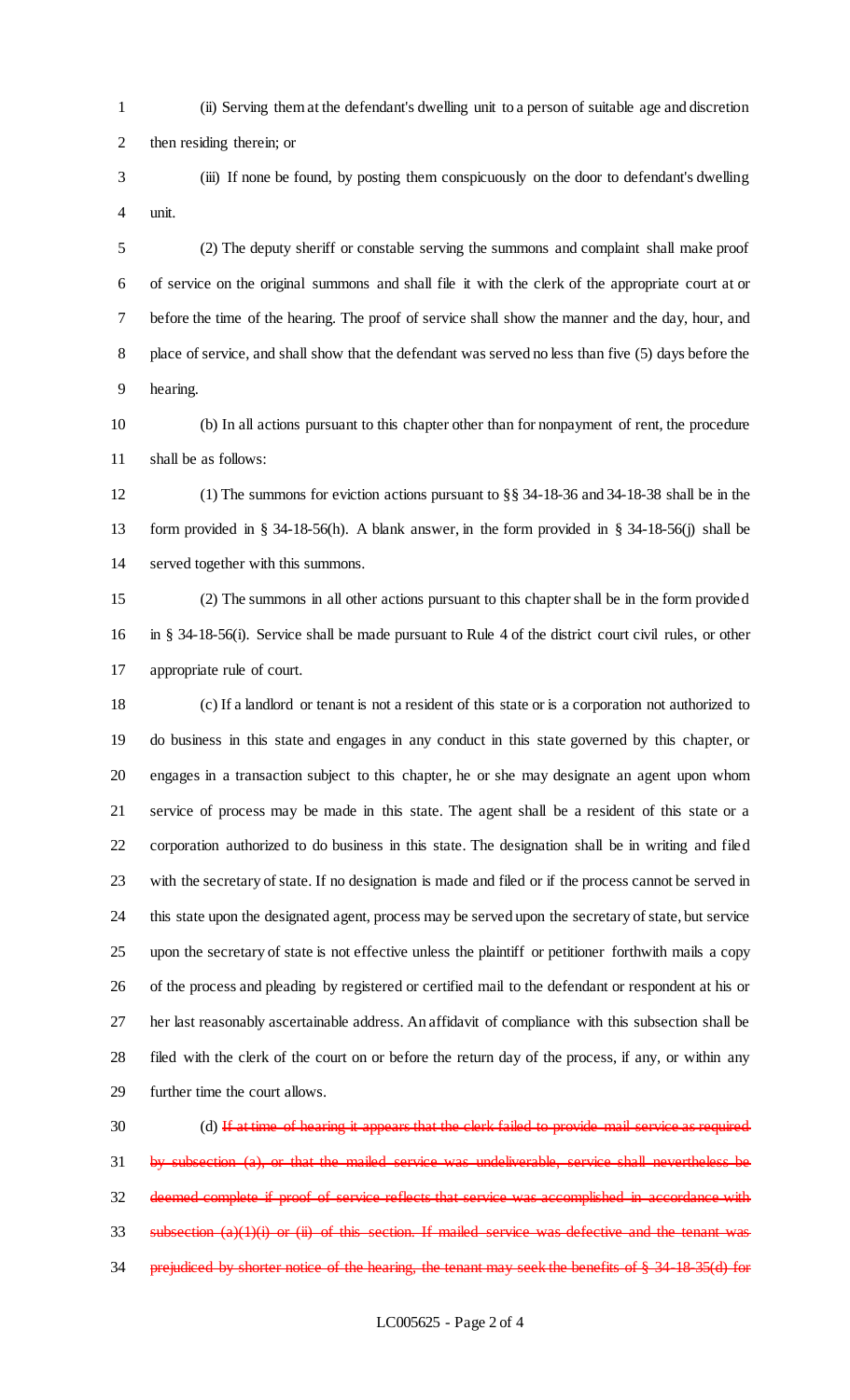- (ii) Serving them at the defendant's dwelling unit to a person of suitable age and discretion then residing therein; or
- (iii) If none be found, by posting them conspicuously on the door to defendant's dwelling unit.

 (2) The deputy sheriff or constable serving the summons and complaint shall make proof of service on the original summons and shall file it with the clerk of the appropriate court at or before the time of the hearing. The proof of service shall show the manner and the day, hour, and place of service, and shall show that the defendant was served no less than five (5) days before the hearing.

 (b) In all actions pursuant to this chapter other than for nonpayment of rent, the procedure shall be as follows:

 (1) The summons for eviction actions pursuant to §§ 34-18-36 and 34-18-38 shall be in the form provided in § 34-18-56(h). A blank answer, in the form provided in § 34-18-56(j) shall be served together with this summons.

 (2) The summons in all other actions pursuant to this chapter shall be in the form provided in § 34-18-56(i). Service shall be made pursuant to Rule 4 of the district court civil rules, or other appropriate rule of court.

 (c) If a landlord or tenant is not a resident of this state or is a corporation not authorized to do business in this state and engages in any conduct in this state governed by this chapter, or engages in a transaction subject to this chapter, he or she may designate an agent upon whom service of process may be made in this state. The agent shall be a resident of this state or a corporation authorized to do business in this state. The designation shall be in writing and filed with the secretary of state. If no designation is made and filed or if the process cannot be served in this state upon the designated agent, process may be served upon the secretary of state, but service upon the secretary of state is not effective unless the plaintiff or petitioner forthwith mails a copy of the process and pleading by registered or certified mail to the defendant or respondent at his or her last reasonably ascertainable address. An affidavit of compliance with this subsection shall be filed with the clerk of the court on or before the return day of the process, if any, or within any further time the court allows.

30 (d) If at time of hearing it appears that the clerk failed to provide mail service as required by subsection (a), or that the mailed service was undeliverable, service shall nevertheless be deemed complete if proof of service reflects that service was accomplished in accordance with subsection (a)(1)(i) or (ii) of this section. If mailed service was defective and the tenant was 34 prejudiced by shorter notice of the hearing, the tenant may seek the benefits of § 34-18-35(d) for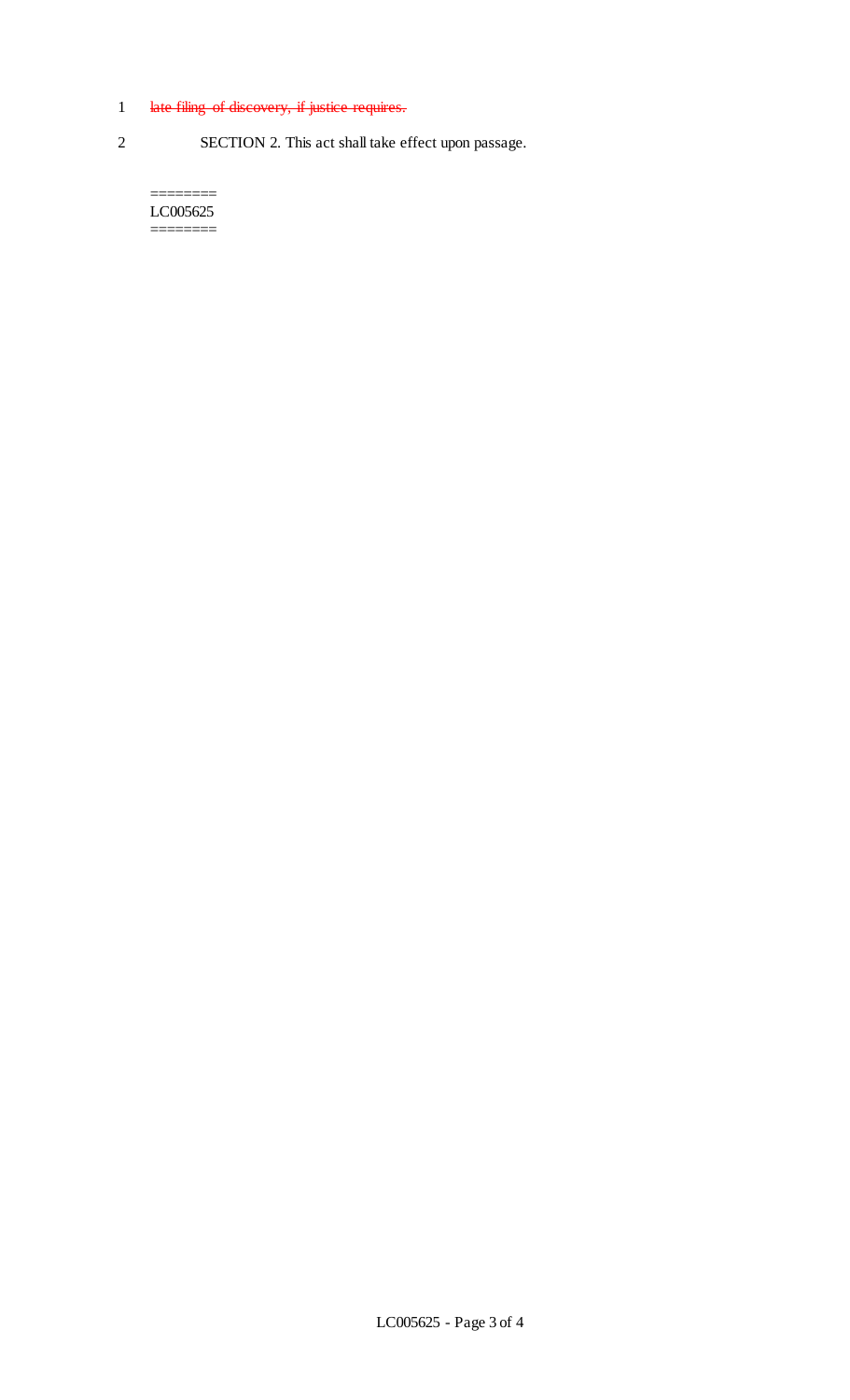# 1 late filing of discovery, if justice requires.

2 SECTION 2. This act shall take effect upon passage.

LC005625 ========

========